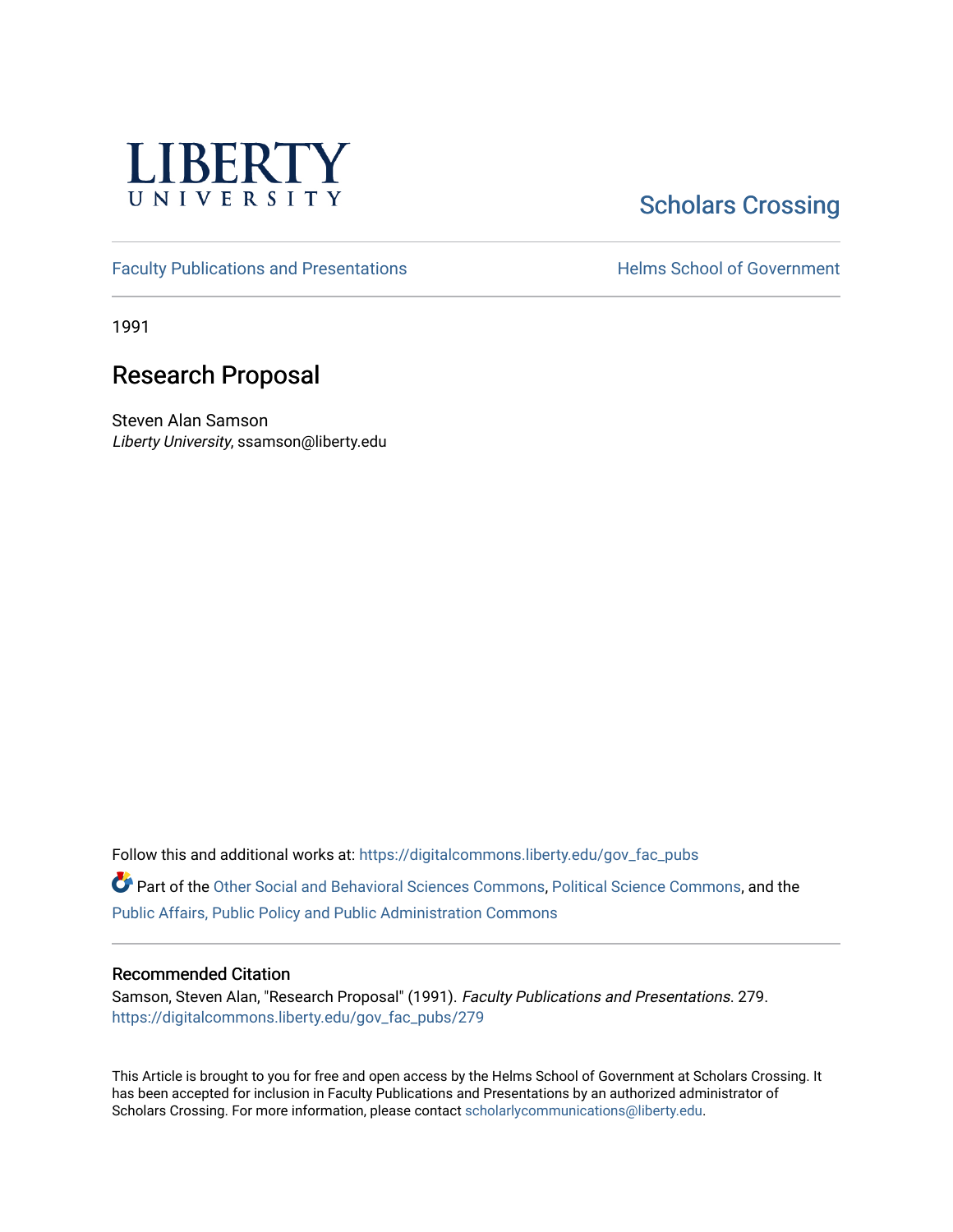

## **Scholars Crossing**

[Faculty Publications and Presentations](https://digitalcommons.liberty.edu/gov_fac_pubs) **Exercise School of Government** 

1991

## Research Proposal

Steven Alan Samson Liberty University, ssamson@liberty.edu

Follow this and additional works at: [https://digitalcommons.liberty.edu/gov\\_fac\\_pubs](https://digitalcommons.liberty.edu/gov_fac_pubs?utm_source=digitalcommons.liberty.edu%2Fgov_fac_pubs%2F279&utm_medium=PDF&utm_campaign=PDFCoverPages)

Part of the [Other Social and Behavioral Sciences Commons](http://network.bepress.com/hgg/discipline/437?utm_source=digitalcommons.liberty.edu%2Fgov_fac_pubs%2F279&utm_medium=PDF&utm_campaign=PDFCoverPages), [Political Science Commons](http://network.bepress.com/hgg/discipline/386?utm_source=digitalcommons.liberty.edu%2Fgov_fac_pubs%2F279&utm_medium=PDF&utm_campaign=PDFCoverPages), and the [Public Affairs, Public Policy and Public Administration Commons](http://network.bepress.com/hgg/discipline/393?utm_source=digitalcommons.liberty.edu%2Fgov_fac_pubs%2F279&utm_medium=PDF&utm_campaign=PDFCoverPages)

## Recommended Citation

Samson, Steven Alan, "Research Proposal" (1991). Faculty Publications and Presentations. 279. [https://digitalcommons.liberty.edu/gov\\_fac\\_pubs/279](https://digitalcommons.liberty.edu/gov_fac_pubs/279?utm_source=digitalcommons.liberty.edu%2Fgov_fac_pubs%2F279&utm_medium=PDF&utm_campaign=PDFCoverPages)

This Article is brought to you for free and open access by the Helms School of Government at Scholars Crossing. It has been accepted for inclusion in Faculty Publications and Presentations by an authorized administrator of Scholars Crossing. For more information, please contact [scholarlycommunications@liberty.edu.](mailto:scholarlycommunications@liberty.edu)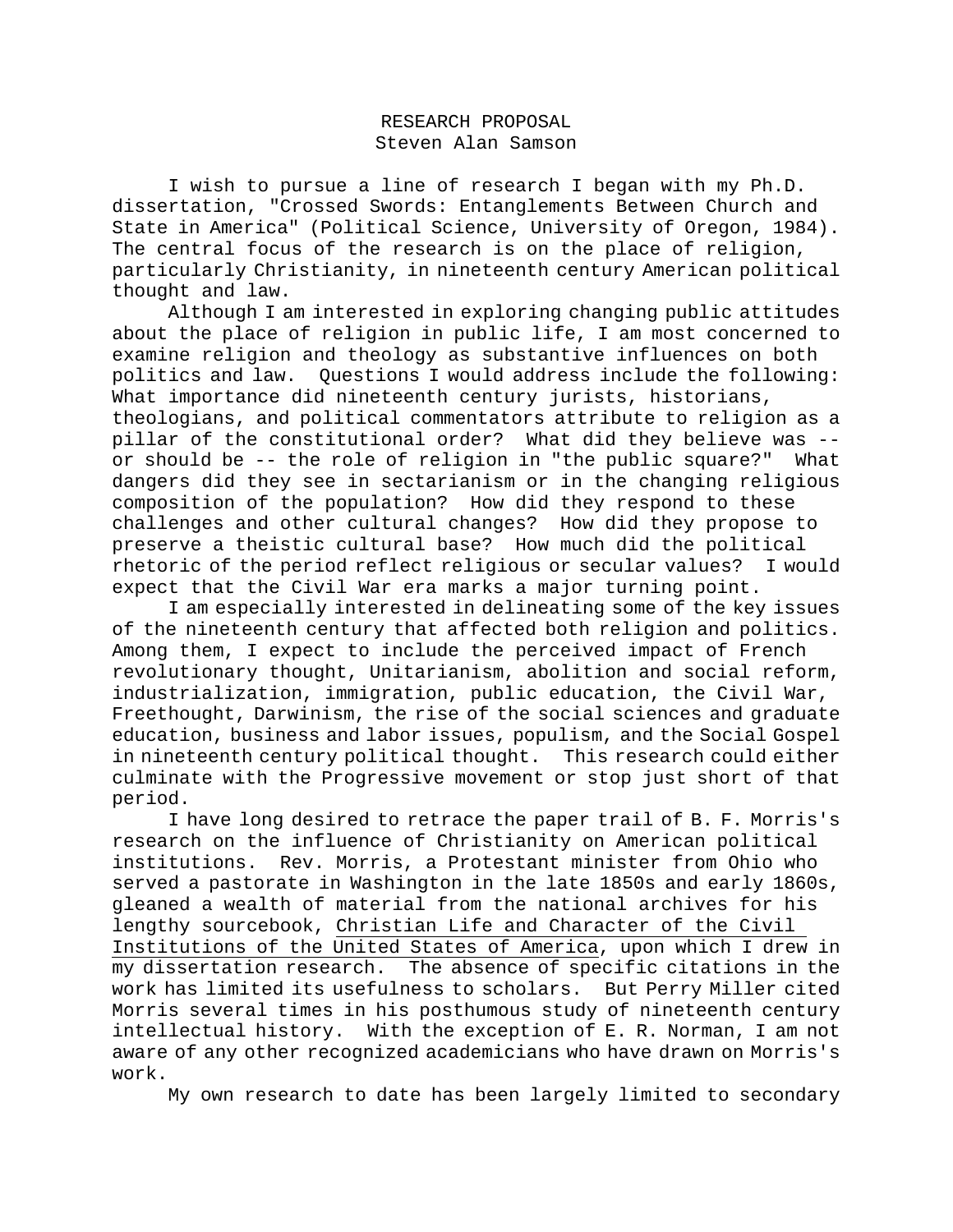## RESEARCH PROPOSAL Steven Alan Samson

I wish to pursue a line of research I began with my Ph.D. dissertation, "Crossed Swords: Entanglements Between Church and State in America" (Political Science, University of Oregon, 1984). The central focus of the research is on the place of religion, particularly Christianity, in nineteenth century American political thought and law.

Although I am interested in exploring changing public attitudes about the place of religion in public life, I am most concerned to examine religion and theology as substantive influences on both politics and law. Questions I would address include the following: What importance did nineteenth century jurists, historians, theologians, and political commentators attribute to religion as a pillar of the constitutional order? What did they believe was - or should be -- the role of religion in "the public square?" What dangers did they see in sectarianism or in the changing religious composition of the population? How did they respond to these challenges and other cultural changes? How did they propose to preserve a theistic cultural base? How much did the political rhetoric of the period reflect religious or secular values? I would expect that the Civil War era marks a major turning point.

I am especially interested in delineating some of the key issues of the nineteenth century that affected both religion and politics. Among them, I expect to include the perceived impact of French revolutionary thought, Unitarianism, abolition and social reform, industrialization, immigration, public education, the Civil War, Freethought, Darwinism, the rise of the social sciences and graduate education, business and labor issues, populism, and the Social Gospel in nineteenth century political thought. This research could either culminate with the Progressive movement or stop just short of that period.

I have long desired to retrace the paper trail of B. F. Morris's research on the influence of Christianity on American political institutions. Rev. Morris, a Protestant minister from Ohio who served a pastorate in Washington in the late 1850s and early 1860s, gleaned a wealth of material from the national archives for his lengthy sourcebook, Christian Life and Character of the Civil Institutions of the United States of America, upon which I drew in my dissertation research. The absence of specific citations in the work has limited its usefulness to scholars. But Perry Miller cited Morris several times in his posthumous study of nineteenth century intellectual history. With the exception of E. R. Norman, I am not aware of any other recognized academicians who have drawn on Morris's work.

My own research to date has been largely limited to secondary